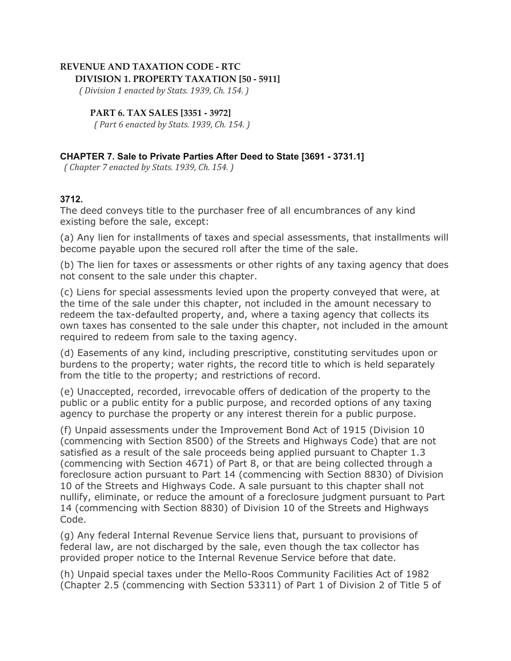## **REVENUE AND TAXATION CODE - RTC DIVISION 1. PROPERTY TAXATION [50 - 5911]**

 *( Division 1 enacted by Stats. 1939, Ch. 154. )*

## **PART 6. TAX SALES [3351 - 3972]**

 *( Part 6 enacted by Stats. 1939, Ch. 154. )*

## **CHAPTER 7. Sale to Private Parties After Deed to State [3691 - 3731.1]**

 *( Chapter 7 enacted by Stats. 1939, Ch. 154. )*

## **3712.**

The deed conveys title to the purchaser free of all encumbrances of any kind existing before the sale, except:

(a) Any lien for installments of taxes and special assessments, that installments will become payable upon the secured roll after the time of the sale.

(b) The lien for taxes or assessments or other rights of any taxing agency that does not consent to the sale under this chapter.

(c) Liens for special assessments levied upon the property conveyed that were, at the time of the sale under this chapter, not included in the amount necessary to redeem the tax-defaulted property, and, where a taxing agency that collects its own taxes has consented to the sale under this chapter, not included in the amount required to redeem from sale to the taxing agency.

(d) Easements of any kind, including prescriptive, constituting servitudes upon or burdens to the property; water rights, the record title to which is held separately from the title to the property; and restrictions of record.

(e) Unaccepted, recorded, irrevocable offers of dedication of the property to the public or a public entity for a public purpose, and recorded options of any taxing agency to purchase the property or any interest therein for a public purpose.

(f) Unpaid assessments under the Improvement Bond Act of 1915 (Division 10 (commencing with Section 8500) of the Streets and Highways Code) that are not satisfied as a result of the sale proceeds being applied pursuant to Chapter 1.3 (commencing with Section 4671) of Part 8, or that are being collected through a foreclosure action pursuant to Part 14 (commencing with Section 8830) of Division 10 of the Streets and Highways Code. A sale pursuant to this chapter shall not nullify, eliminate, or reduce the amount of a foreclosure judgment pursuant to Part 14 (commencing with Section 8830) of Division 10 of the Streets and Highways Code.

(g) Any federal Internal Revenue Service liens that, pursuant to provisions of federal law, are not discharged by the sale, even though the tax collector has provided proper notice to the Internal Revenue Service before that date.

(h) Unpaid special taxes under the Mello-Roos Community Facilities Act of 1982 (Chapter 2.5 (commencing with Section 53311) of Part 1 of Division 2 of Title 5 of